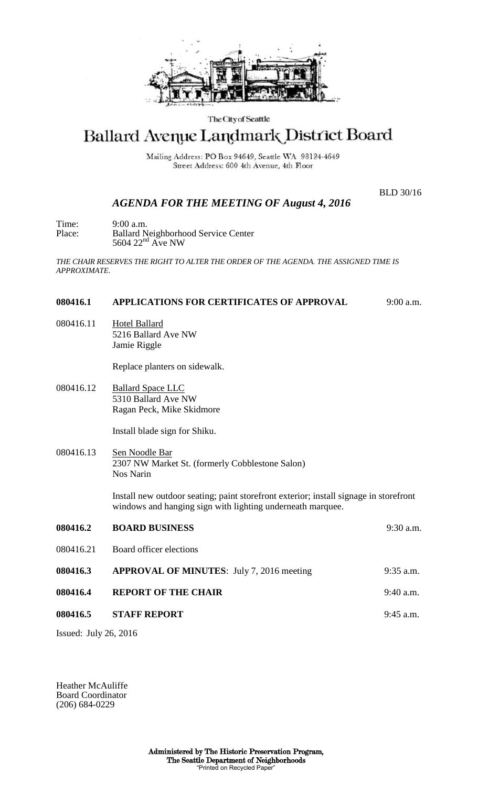

#### The City of Seattle

# Ballard Avenue Landmark District Board

Mailing Address: PO Box 94649, Seattle WA 98124-4649 Street Address: 600 4th Avenue, 4th Floor

BLD 30/16

## *AGENDA FOR THE MEETING OF August 4, 2016*

Time: 9:00 a.m. Place: Ballard Neighborhood Service Center  $5604$   $22<sup>nd</sup>$  Ave NW

*THE CHAIR RESERVES THE RIGHT TO ALTER THE ORDER OF THE AGENDA. THE ASSIGNED TIME IS APPROXIMATE.*

### **080416.1 APPLICATIONS FOR CERTIFICATES OF APPROVAL** 9:00 a.m.

080416.11 Hotel Ballard 5216 Ballard Ave NW Jamie Riggle

Replace planters on sidewalk.

080416.12 Ballard Space LLC 5310 Ballard Ave NW Ragan Peck, Mike Skidmore

Install blade sign for Shiku.

080416.13 Sen Noodle Bar 2307 NW Market St. (formerly Cobblestone Salon) Nos Narin

> Install new outdoor seating; paint storefront exterior; install signage in storefront windows and hanging sign with lighting underneath marquee.

| 080416.2  | <b>BOARD BUSINESS</b>                            | $9:30$ a.m. |
|-----------|--------------------------------------------------|-------------|
| 080416.21 | Board officer elections                          |             |
| 080416.3  | <b>APPROVAL OF MINUTES:</b> July 7, 2016 meeting | $9:35$ a.m. |
| 080416.4  | <b>REPORT OF THE CHAIR</b>                       | $9:40$ a.m. |
| 080416.5  | <b>STAFF REPORT</b>                              | $9:45$ a.m. |
|           |                                                  |             |

Issued: July 26, 2016

Heather McAuliffe Board Coordinator (206) 684-0229